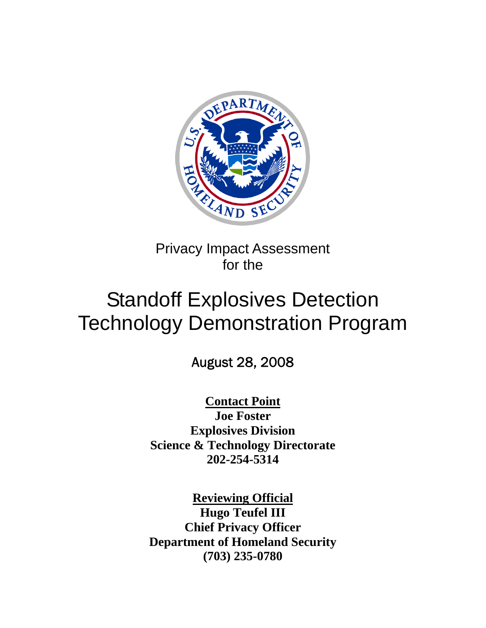

Privacy Impact Assessment for the

# Standoff Explosives Detection Technology Demonstration Program

August 28, 2008

**Contact Point Joe Foster Explosives Division Science & Technology Directorate 202-254-5314** 

**Reviewing Official Hugo Teufel III Chief Privacy Officer Department of Homeland Security (703) 235-0780**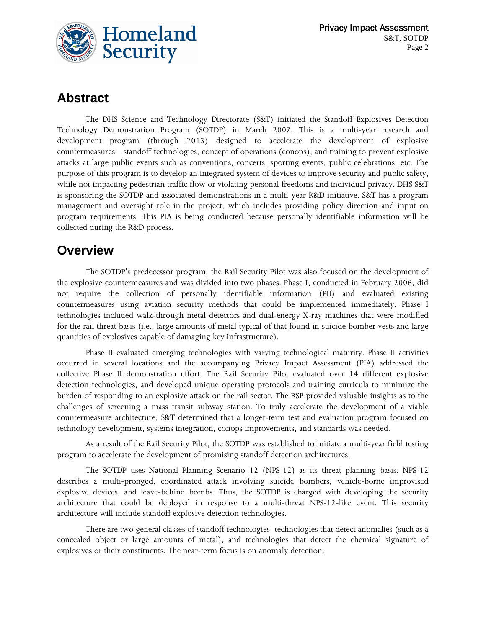

## **Abstract**

The DHS Science and Technology Directorate (S&T) initiated the Standoff Explosives Detection Technology Demonstration Program (SOTDP) in March 2007. This is a multi-year research and development program (through 2013) designed to accelerate the development of explosive countermeasures—standoff technologies, concept of operations (conops), and training to prevent explosive attacks at large public events such as conventions, concerts, sporting events, public celebrations, etc. The purpose of this program is to develop an integrated system of devices to improve security and public safety, while not impacting pedestrian traffic flow or violating personal freedoms and individual privacy. DHS S&T is sponsoring the SOTDP and associated demonstrations in a multi-year R&D initiative. S&T has a program management and oversight role in the project, which includes providing policy direction and input on program requirements. This PIA is being conducted because personally identifiable information will be collected during the R&D process.

### **Overview**

The SOTDP's predecessor program, the Rail Security Pilot was also focused on the development of the explosive countermeasures and was divided into two phases. Phase I, conducted in February 2006, did not require the collection of personally identifiable information (PII) and evaluated existing countermeasures using aviation security methods that could be implemented immediately. Phase I technologies included walk-through metal detectors and dual-energy X-ray machines that were modified for the rail threat basis (i.e., large amounts of metal typical of that found in suicide bomber vests and large quantities of explosives capable of damaging key infrastructure).

Phase II evaluated emerging technologies with varying technological maturity. Phase II activities occurred in several locations and the accompanying Privacy Impact Assessment (PIA) addressed the collective Phase II demonstration effort. The Rail Security Pilot evaluated over 14 different explosive detection technologies, and developed unique operating protocols and training curricula to minimize the burden of responding to an explosive attack on the rail sector. The RSP provided valuable insights as to the challenges of screening a mass transit subway station. To truly accelerate the development of a viable countermeasure architecture, S&T determined that a longer-term test and evaluation program focused on technology development, systems integration, conops improvements, and standards was needed.

As a result of the Rail Security Pilot, the SOTDP was established to initiate a multi-year field testing program to accelerate the development of promising standoff detection architectures.

The SOTDP uses National Planning Scenario 12 (NPS-12) as its threat planning basis. NPS-12 describes a multi-pronged, coordinated attack involving suicide bombers, vehicle-borne improvised explosive devices, and leave-behind bombs. Thus, the SOTDP is charged with developing the security architecture that could be deployed in response to a multi-threat NPS-12-like event. This security architecture will include standoff explosive detection technologies.

There are two general classes of standoff technologies: technologies that detect anomalies (such as a concealed object or large amounts of metal), and technologies that detect the chemical signature of explosives or their constituents. The near-term focus is on anomaly detection.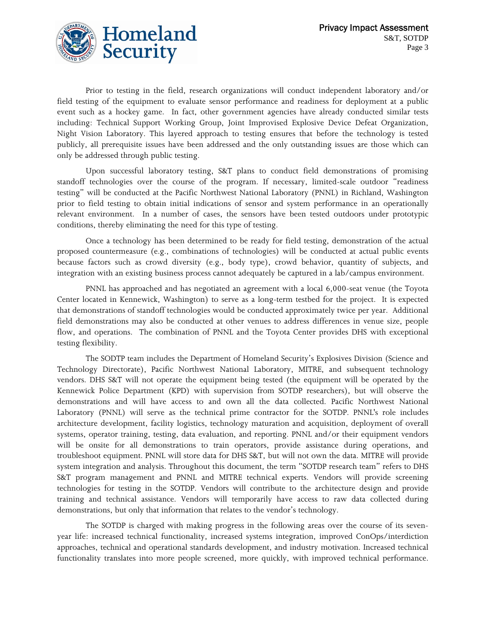

Prior to testing in the field, research organizations will conduct independent laboratory and/or field testing of the equipment to evaluate sensor performance and readiness for deployment at a public event such as a hockey game. In fact, other government agencies have already conducted similar tests including: Technical Support Working Group, Joint Improvised Explosive Device Defeat Organization, Night Vision Laboratory. This layered approach to testing ensures that before the technology is tested publicly, all prerequisite issues have been addressed and the only outstanding issues are those which can only be addressed through public testing.

Upon successful laboratory testing, S&T plans to conduct field demonstrations of promising standoff technologies over the course of the program. If necessary, limited-scale outdoor "readiness testing" will be conducted at the Pacific Northwest National Laboratory (PNNL) in Richland, Washington prior to field testing to obtain initial indications of sensor and system performance in an operationally relevant environment. In a number of cases, the sensors have been tested outdoors under prototypic conditions, thereby eliminating the need for this type of testing.

Once a technology has been determined to be ready for field testing, demonstration of the actual proposed countermeasure (e.g., combinations of technologies) will be conducted at actual public events because factors such as crowd diversity (e.g., body type), crowd behavior, quantity of subjects, and integration with an existing business process cannot adequately be captured in a lab/campus environment.

PNNL has approached and has negotiated an agreement with a local 6,000-seat venue (the Toyota Center located in Kennewick, Washington) to serve as a long-term testbed for the project. It is expected that demonstrations of standoff technologies would be conducted approximately twice per year. Additional field demonstrations may also be conducted at other venues to address differences in venue size, people flow, and operations. The combination of PNNL and the Toyota Center provides DHS with exceptional testing flexibility.

The SODTP team includes the Department of Homeland Security's Explosives Division (Science and Technology Directorate), Pacific Northwest National Laboratory, MITRE, and subsequent technology vendors. DHS S&T will not operate the equipment being tested (the equipment will be operated by the Kennewick Police Department (KPD) with supervision from SOTDP researchers), but will observe the demonstrations and will have access to and own all the data collected. Pacific Northwest National Laboratory (PNNL) will serve as the technical prime contractor for the SOTDP. PNNL's role includes architecture development, facility logistics, technology maturation and acquisition, deployment of overall systems, operator training, testing, data evaluation, and reporting. PNNL and/or their equipment vendors will be onsite for all demonstrations to train operators, provide assistance during operations, and troubleshoot equipment. PNNL will store data for DHS S&T, but will not own the data. MITRE will provide system integration and analysis. Throughout this document, the term "SOTDP research team" refers to DHS S&T program management and PNNL and MITRE technical experts. Vendors will provide screening technologies for testing in the SOTDP. Vendors will contribute to the architecture design and provide training and technical assistance. Vendors will temporarily have access to raw data collected during demonstrations, but only that information that relates to the vendor's technology.

The SOTDP is charged with making progress in the following areas over the course of its sevenyear life: increased technical functionality, increased systems integration, improved ConOps/interdiction approaches, technical and operational standards development, and industry motivation. Increased technical functionality translates into more people screened, more quickly, with improved technical performance.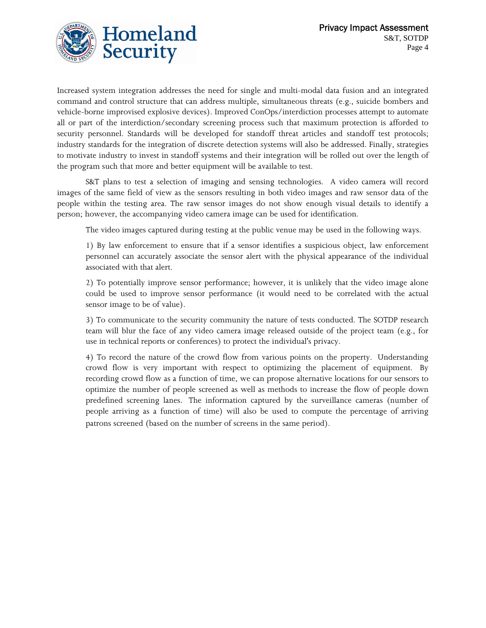

Increased system integration addresses the need for single and multi-modal data fusion and an integrated command and control structure that can address multiple, simultaneous threats (e.g., suicide bombers and vehicle-borne improvised explosive devices). Improved ConOps/interdiction processes attempt to automate all or part of the interdiction/secondary screening process such that maximum protection is afforded to security personnel. Standards will be developed for standoff threat articles and standoff test protocols; industry standards for the integration of discrete detection systems will also be addressed. Finally, strategies to motivate industry to invest in standoff systems and their integration will be rolled out over the length of the program such that more and better equipment will be available to test.

S&T plans to test a selection of imaging and sensing technologies. A video camera will record images of the same field of view as the sensors resulting in both video images and raw sensor data of the people within the testing area. The raw sensor images do not show enough visual details to identify a person; however, the accompanying video camera image can be used for identification.

The video images captured during testing at the public venue may be used in the following ways.

1) By law enforcement to ensure that if a sensor identifies a suspicious object, law enforcement personnel can accurately associate the sensor alert with the physical appearance of the individual associated with that alert.

2) To potentially improve sensor performance; however, it is unlikely that the video image alone could be used to improve sensor performance (it would need to be correlated with the actual sensor image to be of value).

3) To communicate to the security community the nature of tests conducted. The SOTDP research team will blur the face of any video camera image released outside of the project team (e.g., for use in technical reports or conferences) to protect the individual's privacy.

4) To record the nature of the crowd flow from various points on the property. Understanding crowd flow is very important with respect to optimizing the placement of equipment. By recording crowd flow as a function of time, we can propose alternative locations for our sensors to optimize the number of people screened as well as methods to increase the flow of people down predefined screening lanes. The information captured by the surveillance cameras (number of people arriving as a function of time) will also be used to compute the percentage of arriving patrons screened (based on the number of screens in the same period).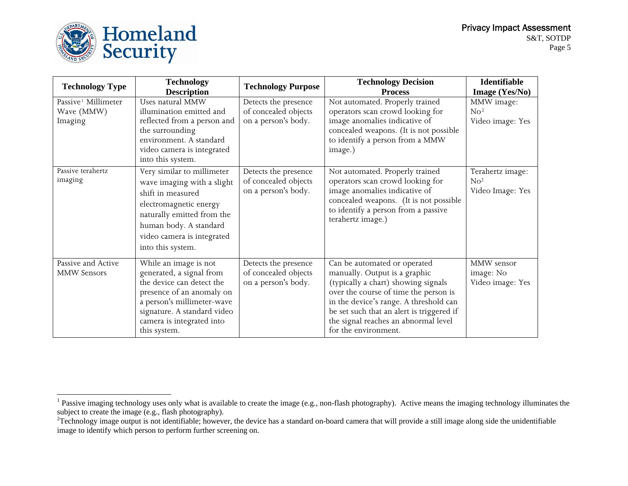

| <b>Technology Type</b>          | <b>Technology</b>           | <b>Technology Purpose</b> | <b>Technology Decision</b>                               | Identifiable     |
|---------------------------------|-----------------------------|---------------------------|----------------------------------------------------------|------------------|
|                                 | <b>Description</b>          |                           | <b>Process</b>                                           | Image (Yes/No)   |
| Passive <sup>1</sup> Millimeter | Uses natural MMW            | Detects the presence      | Not automated. Properly trained                          | MMW image:       |
| Wave (MMW)                      | illumination emitted and    | of concealed objects      | operators scan crowd looking for                         | No <sup>2</sup>  |
| Imaging                         | reflected from a person and | on a person's body.       | image anomalies indicative of                            | Video image: Yes |
|                                 | the surrounding             |                           | concealed weapons. (It is not possible                   |                  |
|                                 | environment. A standard     |                           | to identify a person from a MMW                          |                  |
|                                 | video camera is integrated  |                           | image.)                                                  |                  |
|                                 | into this system.           |                           |                                                          |                  |
| Passive terahertz               | Very similar to millimeter  | Detects the presence      | Not automated. Properly trained                          | Terahertz image: |
| imaging                         | wave imaging with a slight  | of concealed objects      | operators scan crowd looking for                         | N <sub>0</sub>   |
|                                 | shift in measured           | on a person's body.       | image anomalies indicative of                            | Video Image: Yes |
|                                 | electromagnetic energy      |                           | concealed weapons. (It is not possible                   |                  |
|                                 | naturally emitted from the  |                           | to identify a person from a passive<br>terahertz image.) |                  |
|                                 | human body. A standard      |                           |                                                          |                  |
|                                 | video camera is integrated  |                           |                                                          |                  |
|                                 | into this system.           |                           |                                                          |                  |
| Passive and Active              | While an image is not       | Detects the presence      | Can be automated or operated                             | MMW sensor       |
| <b>MMW Sensors</b>              | generated, a signal from    | of concealed objects      | manually. Output is a graphic                            | image: No        |
|                                 | the device can detect the   | on a person's body.       | (typically a chart) showing signals                      | Video image: Yes |
|                                 | presence of an anomaly on   |                           | over the course of time the person is                    |                  |
|                                 | a person's millimeter-wave  |                           | in the device's range. A threshold can                   |                  |
|                                 | signature. A standard video |                           | be set such that an alert is triggered if                |                  |
|                                 | camera is integrated into   |                           | the signal reaches an abnormal level                     |                  |
|                                 | this system.                |                           | for the environment.                                     |                  |

<span id="page-4-0"></span> $<sup>1</sup>$  Passive imaging technology uses only what is available to create the image (e.g., non-flash photography). Active means the imaging technology illuminates the</sup> subject to create the image (e.g., flash photography).

<span id="page-4-1"></span> $2T$ echnology image output is not identifiable; however, the device has a standard on-board camera that will provide a still image along side the unidentifiable image to identify which person to perform further screening on.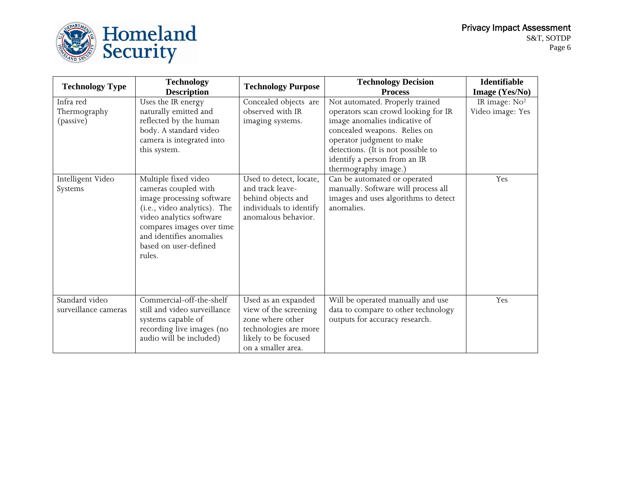

| <b>Technology Type</b> | <b>Technology</b>            | <b>Technology Purpose</b> | <b>Technology Decision</b>           | Identifiable              |
|------------------------|------------------------------|---------------------------|--------------------------------------|---------------------------|
|                        | <b>Description</b>           |                           | <b>Process</b>                       | Image (Yes/No)            |
| Infra red              | Uses the IR energy           | Concealed objects are     | Not automated. Properly trained      | IR image: No <sup>2</sup> |
| Thermography           | naturally emitted and        | observed with IR          | operators scan crowd looking for IR  | Video image: Yes          |
| (passive)              | reflected by the human       | imaging systems.          | image anomalies indicative of        |                           |
|                        | body. A standard video       |                           | concealed weapons. Relies on         |                           |
|                        | camera is integrated into    |                           | operator judgment to make            |                           |
|                        | this system.                 |                           | detections. (It is not possible to   |                           |
|                        |                              |                           | identify a person from an IR         |                           |
|                        |                              |                           | thermography image.)                 |                           |
| Intelligent Video      | Multiple fixed video         | Used to detect, locate,   | Can be automated or operated         | Yes                       |
| Systems                | cameras coupled with         | and track leave-          | manually. Software will process all  |                           |
|                        | image processing software    | behind objects and        | images and uses algorithms to detect |                           |
|                        | (i.e., video analytics). The | individuals to identify   | anomalies.                           |                           |
|                        | video analytics software     | anomalous behavior.       |                                      |                           |
|                        | compares images over time    |                           |                                      |                           |
|                        | and identifies anomalies     |                           |                                      |                           |
|                        | based on user-defined        |                           |                                      |                           |
|                        | rules.                       |                           |                                      |                           |
|                        |                              |                           |                                      |                           |
|                        |                              |                           |                                      |                           |
|                        |                              |                           |                                      |                           |
| Standard video         | Commercial-off-the-shelf     | Used as an expanded       | Will be operated manually and use    | Yes                       |
| surveillance cameras   | still and video surveillance | view of the screening     | data to compare to other technology  |                           |
|                        | systems capable of           | zone where other          | outputs for accuracy research.       |                           |
|                        | recording live images (no    | technologies are more     |                                      |                           |
|                        | audio will be included)      | likely to be focused      |                                      |                           |
|                        |                              | on a smaller area.        |                                      |                           |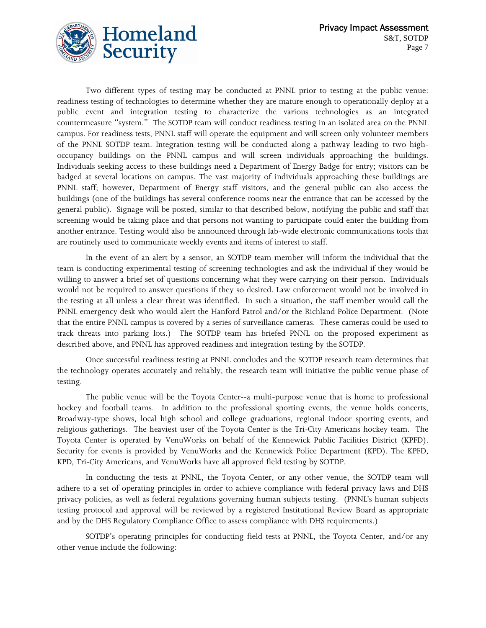

Two different types of testing may be conducted at PNNL prior to testing at the public venue: readiness testing of technologies to determine whether they are mature enough to operationally deploy at a public event and integration testing to characterize the various technologies as an integrated countermeasure "system." The SOTDP team will conduct readiness testing in an isolated area on the PNNL campus. For readiness tests, PNNL staff will operate the equipment and will screen only volunteer members of the PNNL SOTDP team. Integration testing will be conducted along a pathway leading to two highoccupancy buildings on the PNNL campus and will screen individuals approaching the buildings. Individuals seeking access to these buildings need a Department of Energy Badge for entry; visitors can be badged at several locations on campus. The vast majority of individuals approaching these buildings are PNNL staff; however, Department of Energy staff visitors, and the general public can also access the buildings (one of the buildings has several conference rooms near the entrance that can be accessed by the general public). Signage will be posted, similar to that described below, notifying the public and staff that screening would be taking place and that persons not wanting to participate could enter the building from another entrance. Testing would also be announced through lab-wide electronic communications tools that are routinely used to communicate weekly events and items of interest to staff.

In the event of an alert by a sensor, an SOTDP team member will inform the individual that the team is conducting experimental testing of screening technologies and ask the individual if they would be willing to answer a brief set of questions concerning what they were carrying on their person. Individuals would not be required to answer questions if they so desired. Law enforcement would not be involved in the testing at all unless a clear threat was identified. In such a situation, the staff member would call the PNNL emergency desk who would alert the Hanford Patrol and/or the Richland Police Department. (Note that the entire PNNL campus is covered by a series of surveillance cameras. These cameras could be used to track threats into parking lots.) The SOTDP team has briefed PNNL on the proposed experiment as described above, and PNNL has approved readiness and integration testing by the SOTDP.

Once successful readiness testing at PNNL concludes and the SOTDP research team determines that the technology operates accurately and reliably, the research team will initiative the public venue phase of testing.

The public venue will be the Toyota Center--a multi-purpose venue that is home to professional hockey and football teams. In addition to the professional sporting events, the venue holds concerts, Broadway-type shows, local high school and college graduations, regional indoor sporting events, and religious gatherings. The heaviest user of the Toyota Center is the Tri-City Americans hockey team. The Toyota Center is operated by VenuWorks on behalf of the Kennewick Public Facilities District (KPFD). Security for events is provided by VenuWorks and the Kennewick Police Department (KPD). The KPFD, KPD, Tri-City Americans, and VenuWorks have all approved field testing by SOTDP.

In conducting the tests at PNNL, the Toyota Center, or any other venue, the SOTDP team will adhere to a set of operating principles in order to achieve compliance with federal privacy laws and DHS privacy policies, as well as federal regulations governing human subjects testing. (PNNL's human subjects testing protocol and approval will be reviewed by a registered Institutional Review Board as appropriate and by the DHS Regulatory Compliance Office to assess compliance with DHS requirements.)

SOTDP's operating principles for conducting field tests at PNNL, the Toyota Center, and/or any other venue include the following: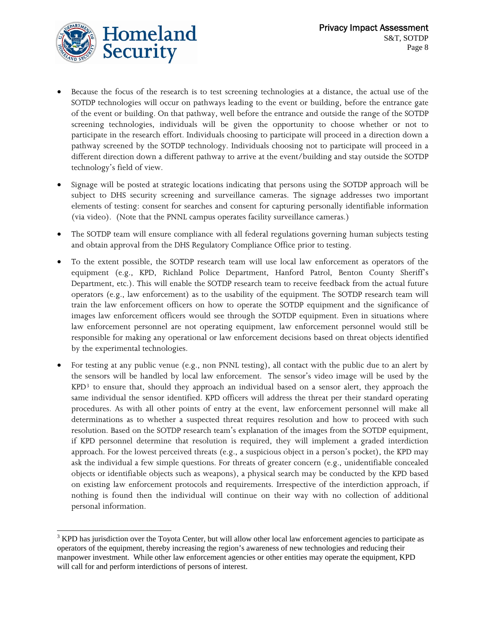<span id="page-7-0"></span>

 $\overline{a}$ 

- Because the focus of the research is to test screening technologies at a distance, the actual use of the SOTDP technologies will occur on pathways leading to the event or building, before the entrance gate of the event or building. On that pathway, well before the entrance and outside the range of the SOTDP screening technologies, individuals will be given the opportunity to choose whether or not to participate in the research effort. Individuals choosing to participate will proceed in a direction down a pathway screened by the SOTDP technology. Individuals choosing not to participate will proceed in a different direction down a different pathway to arrive at the event/building and stay outside the SOTDP technology's field of view.
- Signage will be posted at strategic locations indicating that persons using the SOTDP approach will be subject to DHS security screening and surveillance cameras. The signage addresses two important elements of testing: consent for searches and consent for capturing personally identifiable information (via video). (Note that the PNNL campus operates facility surveillance cameras.)
- The SOTDP team will ensure compliance with all federal regulations governing human subjects testing and obtain approval from the DHS Regulatory Compliance Office prior to testing.
- To the extent possible, the SOTDP research team will use local law enforcement as operators of the equipment (e.g., KPD, Richland Police Department, Hanford Patrol, Benton County Sheriff's Department, etc.). This will enable the SOTDP research team to receive feedback from the actual future operators (e.g., law enforcement) as to the usability of the equipment. The SOTDP research team will train the law enforcement officers on how to operate the SOTDP equipment and the significance of images law enforcement officers would see through the SOTDP equipment. Even in situations where law enforcement personnel are not operating equipment, law enforcement personnel would still be responsible for making any operational or law enforcement decisions based on threat objects identified by the experimental technologies.
- For testing at any public venue (e.g., non PNNL testing), all contact with the public due to an alert by the sensors will be handled by local law enforcement. The sensor's video image will be used by the KPD[3](#page-7-0) to ensure that, should they approach an individual based on a sensor alert, they approach the same individual the sensor identified. KPD officers will address the threat per their standard operating procedures. As with all other points of entry at the event, law enforcement personnel will make all determinations as to whether a suspected threat requires resolution and how to proceed with such resolution. Based on the SOTDP research team's explanation of the images from the SOTDP equipment, if KPD personnel determine that resolution is required, they will implement a graded interdiction approach. For the lowest perceived threats (e.g., a suspicious object in a person's pocket), the KPD may ask the individual a few simple questions. For threats of greater concern (e.g., unidentifiable concealed objects or identifiable objects such as weapons), a physical search may be conducted by the KPD based on existing law enforcement protocols and requirements. Irrespective of the interdiction approach, if nothing is found then the individual will continue on their way with no collection of additional personal information.

 $3$  KPD has jurisdiction over the Toyota Center, but will allow other local law enforcement agencies to participate as operators of the equipment, thereby increasing the region's awareness of new technologies and reducing their manpower investment. While other law enforcement agencies or other entities may operate the equipment, KPD will call for and perform interdictions of persons of interest.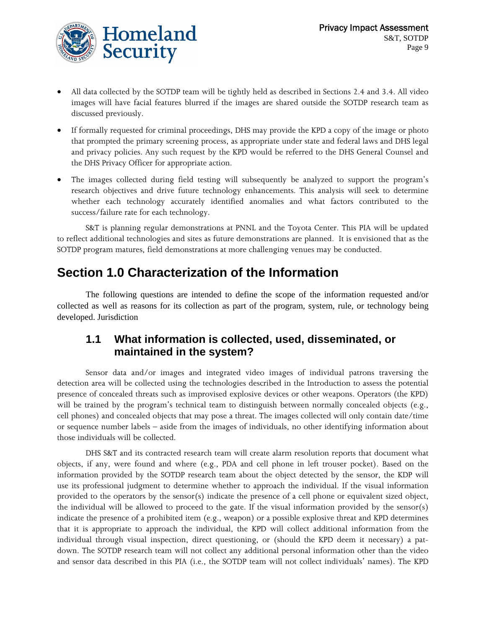

- All data collected by the SOTDP team will be tightly held as described in Sections 2.4 and 3.4. All video images will have facial features blurred if the images are shared outside the SOTDP research team as discussed previously.
- If formally requested for criminal proceedings, DHS may provide the KPD a copy of the image or photo that prompted the primary screening process, as appropriate under state and federal laws and DHS legal and privacy policies. Any such request by the KPD would be referred to the DHS General Counsel and the DHS Privacy Officer for appropriate action.
- The images collected during field testing will subsequently be analyzed to support the program's research objectives and drive future technology enhancements. This analysis will seek to determine whether each technology accurately identified anomalies and what factors contributed to the success/failure rate for each technology.

S&T is planning regular demonstrations at PNNL and the Toyota Center. This PIA will be updated to reflect additional technologies and sites as future demonstrations are planned. It is envisioned that as the SOTDP program matures, field demonstrations at more challenging venues may be conducted.

## **Section 1.0 Characterization of the Information**

The following questions are intended to define the scope of the information requested and/or collected as well as reasons for its collection as part of the program, system, rule, or technology being developed. Jurisdiction

#### **1.1 What information is collected, used, disseminated, or maintained in the system?**

Sensor data and/or images and integrated video images of individual patrons traversing the detection area will be collected using the technologies described in the Introduction to assess the potential presence of concealed threats such as improvised explosive devices or other weapons. Operators (the KPD) will be trained by the program's technical team to distinguish between normally concealed objects (e.g., cell phones) and concealed objects that may pose a threat. The images collected will only contain date/time or sequence number labels – aside from the images of individuals, no other identifying information about those individuals will be collected.

DHS S&T and its contracted research team will create alarm resolution reports that document what objects, if any, were found and where (e.g., PDA and cell phone in left trouser pocket). Based on the information provided by the SOTDP research team about the object detected by the sensor, the KDP will use its professional judgment to determine whether to approach the individual. If the visual information provided to the operators by the sensor(s) indicate the presence of a cell phone or equivalent sized object, the individual will be allowed to proceed to the gate. If the visual information provided by the sensor(s) indicate the presence of a prohibited item (e.g., weapon) or a possible explosive threat and KPD determines that it is appropriate to approach the individual, the KPD will collect additional information from the individual through visual inspection, direct questioning, or (should the KPD deem it necessary) a patdown. The SOTDP research team will not collect any additional personal information other than the video and sensor data described in this PIA (i.e., the SOTDP team will not collect individuals' names). The KPD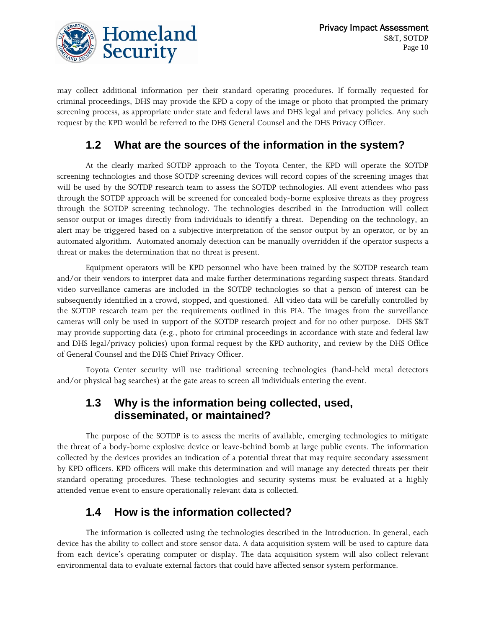

may collect additional information per their standard operating procedures. If formally requested for criminal proceedings, DHS may provide the KPD a copy of the image or photo that prompted the primary screening process, as appropriate under state and federal laws and DHS legal and privacy policies. Any such request by the KPD would be referred to the DHS General Counsel and the DHS Privacy Officer.

#### **1.2 What are the sources of the information in the system?**

At the clearly marked SOTDP approach to the Toyota Center, the KPD will operate the SOTDP screening technologies and those SOTDP screening devices will record copies of the screening images that will be used by the SOTDP research team to assess the SOTDP technologies. All event attendees who pass through the SOTDP approach will be screened for concealed body-borne explosive threats as they progress through the SOTDP screening technology. The technologies described in the Introduction will collect sensor output or images directly from individuals to identify a threat. Depending on the technology, an alert may be triggered based on a subjective interpretation of the sensor output by an operator, or by an automated algorithm. Automated anomaly detection can be manually overridden if the operator suspects a threat or makes the determination that no threat is present.

Equipment operators will be KPD personnel who have been trained by the SOTDP research team and/or their vendors to interpret data and make further determinations regarding suspect threats. Standard video surveillance cameras are included in the SOTDP technologies so that a person of interest can be subsequently identified in a crowd, stopped, and questioned. All video data will be carefully controlled by the SOTDP research team per the requirements outlined in this PIA. The images from the surveillance cameras will only be used in support of the SOTDP research project and for no other purpose. DHS S&T may provide supporting data (e.g., photo for criminal proceedings in accordance with state and federal law and DHS legal/privacy policies) upon formal request by the KPD authority, and review by the DHS Office of General Counsel and the DHS Chief Privacy Officer.

Toyota Center security will use traditional screening technologies (hand-held metal detectors and/or physical bag searches) at the gate areas to screen all individuals entering the event.

#### **1.3 Why is the information being collected, used, disseminated, or maintained?**

The purpose of the SOTDP is to assess the merits of available, emerging technologies to mitigate the threat of a body-borne explosive device or leave-behind bomb at large public events. The information collected by the devices provides an indication of a potential threat that may require secondary assessment by KPD officers. KPD officers will make this determination and will manage any detected threats per their standard operating procedures. These technologies and security systems must be evaluated at a highly attended venue event to ensure operationally relevant data is collected.

#### **1.4 How is the information collected?**

The information is collected using the technologies described in the Introduction. In general, each device has the ability to collect and store sensor data. A data acquisition system will be used to capture data from each device's operating computer or display. The data acquisition system will also collect relevant environmental data to evaluate external factors that could have affected sensor system performance.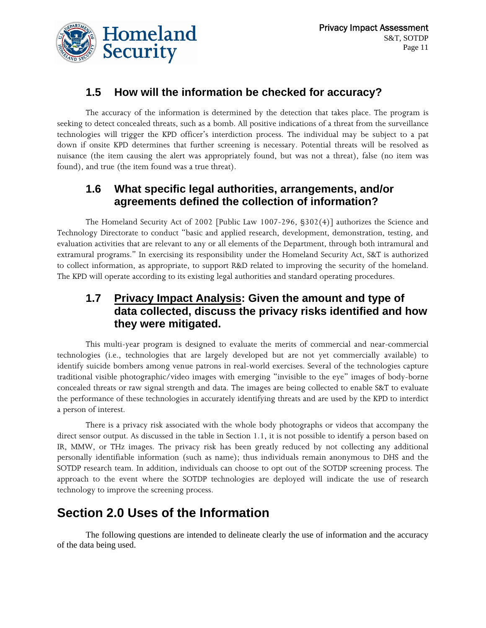

#### **1.5 How will the information be checked for accuracy?**

The accuracy of the information is determined by the detection that takes place. The program is seeking to detect concealed threats, such as a bomb. All positive indications of a threat from the surveillance technologies will trigger the KPD officer's interdiction process. The individual may be subject to a pat down if onsite KPD determines that further screening is necessary. Potential threats will be resolved as nuisance (the item causing the alert was appropriately found, but was not a threat), false (no item was found), and true (the item found was a true threat).

#### **1.6 What specific legal authorities, arrangements, and/or agreements defined the collection of information?**

The Homeland Security Act of 2002 [Public Law 1007-296, §302(4)] authorizes the Science and Technology Directorate to conduct "basic and applied research, development, demonstration, testing, and evaluation activities that are relevant to any or all elements of the Department, through both intramural and extramural programs." In exercising its responsibility under the Homeland Security Act, S&T is authorized to collect information, as appropriate, to support R&D related to improving the security of the homeland. The KPD will operate according to its existing legal authorities and standard operating procedures.

#### **1.7 Privacy Impact Analysis: Given the amount and type of data collected, discuss the privacy risks identified and how they were mitigated.**

This multi-year program is designed to evaluate the merits of commercial and near-commercial technologies (i.e., technologies that are largely developed but are not yet commercially available) to identify suicide bombers among venue patrons in real-world exercises. Several of the technologies capture traditional visible photographic/video images with emerging "invisible to the eye" images of body-borne concealed threats or raw signal strength and data. The images are being collected to enable S&T to evaluate the performance of these technologies in accurately identifying threats and are used by the KPD to interdict a person of interest.

There is a privacy risk associated with the whole body photographs or videos that accompany the direct sensor output. As discussed in the table in Section 1.1, it is not possible to identify a person based on IR, MMW, or THz images. The privacy risk has been greatly reduced by not collecting any additional personally identifiable information (such as name); thus individuals remain anonymous to DHS and the SOTDP research team. In addition, individuals can choose to opt out of the SOTDP screening process. The approach to the event where the SOTDP technologies are deployed will indicate the use of research technology to improve the screening process.

# **Section 2.0 Uses of the Information**

The following questions are intended to delineate clearly the use of information and the accuracy of the data being used.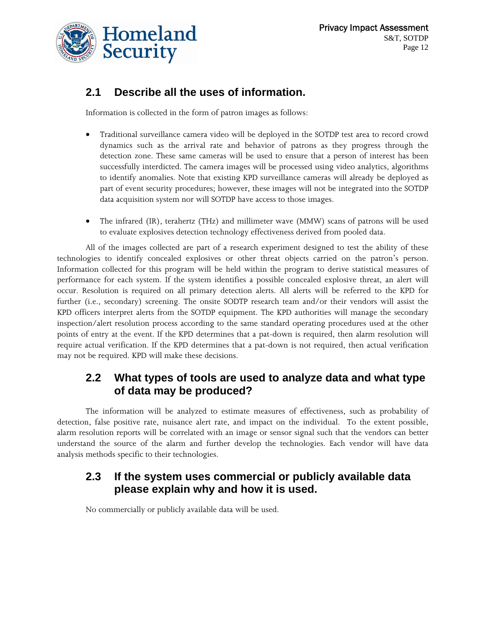

#### **2.1 Describe all the uses of information.**

Information is collected in the form of patron images as follows:

- Traditional surveillance camera video will be deployed in the SOTDP test area to record crowd dynamics such as the arrival rate and behavior of patrons as they progress through the detection zone. These same cameras will be used to ensure that a person of interest has been successfully interdicted. The camera images will be processed using video analytics, algorithms to identify anomalies. Note that existing KPD surveillance cameras will already be deployed as part of event security procedures; however, these images will not be integrated into the SOTDP data acquisition system nor will SOTDP have access to those images.
- The infrared (IR), terahertz (THz) and millimeter wave (MMW) scans of patrons will be used to evaluate explosives detection technology effectiveness derived from pooled data.

All of the images collected are part of a research experiment designed to test the ability of these technologies to identify concealed explosives or other threat objects carried on the patron's person. Information collected for this program will be held within the program to derive statistical measures of performance for each system. If the system identifies a possible concealed explosive threat, an alert will occur. Resolution is required on all primary detection alerts. All alerts will be referred to the KPD for further (i.e., secondary) screening. The onsite SODTP research team and/or their vendors will assist the KPD officers interpret alerts from the SOTDP equipment. The KPD authorities will manage the secondary inspection/alert resolution process according to the same standard operating procedures used at the other points of entry at the event. If the KPD determines that a pat-down is required, then alarm resolution will require actual verification. If the KPD determines that a pat-down is not required, then actual verification may not be required. KPD will make these decisions.

#### **2.2 What types of tools are used to analyze data and what type of data may be produced?**

The information will be analyzed to estimate measures of effectiveness, such as probability of detection, false positive rate, nuisance alert rate, and impact on the individual. To the extent possible, alarm resolution reports will be correlated with an image or sensor signal such that the vendors can better understand the source of the alarm and further develop the technologies. Each vendor will have data analysis methods specific to their technologies.

#### **2.3 If the system uses commercial or publicly available data please explain why and how it is used.**

No commercially or publicly available data will be used.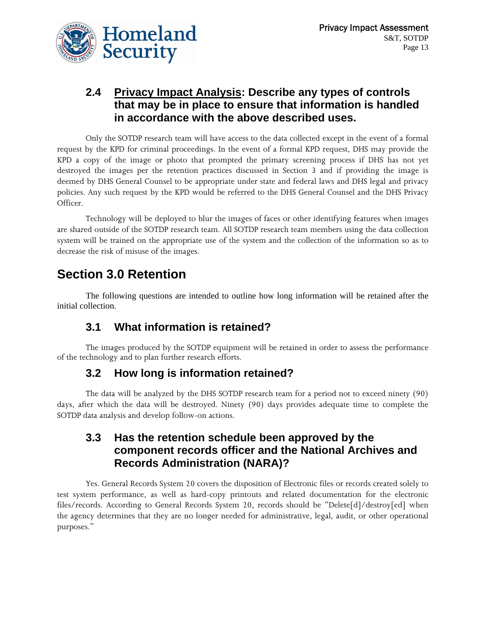#### **2.4 Privacy Impact Analysis: Describe any types of controls that may be in place to ensure that information is handled in accordance with the above described uses.**

Only the SOTDP research team will have access to the data collected except in the event of a formal request by the KPD for criminal proceedings. In the event of a formal KPD request, DHS may provide the KPD a copy of the image or photo that prompted the primary screening process if DHS has not yet destroyed the images per the retention practices discussed in Section 3 and if providing the image is deemed by DHS General Counsel to be appropriate under state and federal laws and DHS legal and privacy policies. Any such request by the KPD would be referred to the DHS General Counsel and the DHS Privacy Officer.

Technology will be deployed to blur the images of faces or other identifying features when images are shared outside of the SOTDP research team. All SOTDP research team members using the data collection system will be trained on the appropriate use of the system and the collection of the information so as to decrease the risk of misuse of the images.

# **Section 3.0 Retention**

The following questions are intended to outline how long information will be retained after the initial collection.

#### **3.1 What information is retained?**

The images produced by the SOTDP equipment will be retained in order to assess the performance of the technology and to plan further research efforts.

#### **3.2 How long is information retained?**

The data will be analyzed by the DHS SOTDP research team for a period not to exceed ninety (90) days, after which the data will be destroyed. Ninety (90) days provides adequate time to complete the SOTDP data analysis and develop follow-on actions.

#### **3.3 Has the retention schedule been approved by the component records officer and the National Archives and Records Administration (NARA)?**

Yes. General Records System 20 covers the disposition of Electronic files or records created solely to test system performance, as well as hard-copy printouts and related documentation for the electronic files/records. According to General Records System 20, records should be "Delete[d]/destroy[ed] when the agency determines that they are no longer needed for administrative, legal, audit, or other operational purposes."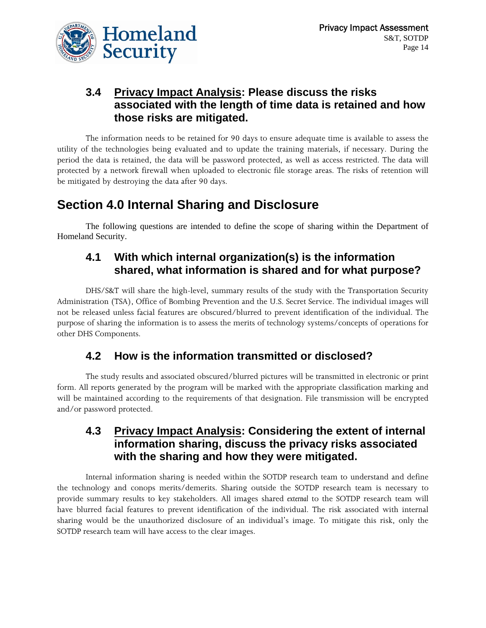

#### **3.4 Privacy Impact Analysis: Please discuss the risks associated with the length of time data is retained and how those risks are mitigated.**

The information needs to be retained for 90 days to ensure adequate time is available to assess the utility of the technologies being evaluated and to update the training materials, if necessary. During the period the data is retained, the data will be password protected, as well as access restricted. The data will protected by a network firewall when uploaded to electronic file storage areas. The risks of retention will be mitigated by destroying the data after 90 days.

## **Section 4.0 Internal Sharing and Disclosure**

The following questions are intended to define the scope of sharing within the Department of Homeland Security.

#### **4.1 With which internal organization(s) is the information shared, what information is shared and for what purpose?**

DHS/S&T will share the high-level, summary results of the study with the Transportation Security Administration (TSA), Office of Bombing Prevention and the U.S. Secret Service. The individual images will not be released unless facial features are obscured/blurred to prevent identification of the individual. The purpose of sharing the information is to assess the merits of technology systems/concepts of operations for other DHS Components.

#### **4.2 How is the information transmitted or disclosed?**

The study results and associated obscured/blurred pictures will be transmitted in electronic or print form. All reports generated by the program will be marked with the appropriate classification marking and will be maintained according to the requirements of that designation. File transmission will be encrypted and/or password protected.

#### **4.3 Privacy Impact Analysis: Considering the extent of internal information sharing, discuss the privacy risks associated with the sharing and how they were mitigated.**

Internal information sharing is needed within the SOTDP research team to understand and define the technology and conops merits/demerits. Sharing outside the SOTDP research team is necessary to provide summary results to key stakeholders. All images shared *external* to the SOTDP research team will have blurred facial features to prevent identification of the individual. The risk associated with internal sharing would be the unauthorized disclosure of an individual's image. To mitigate this risk, only the SOTDP research team will have access to the clear images.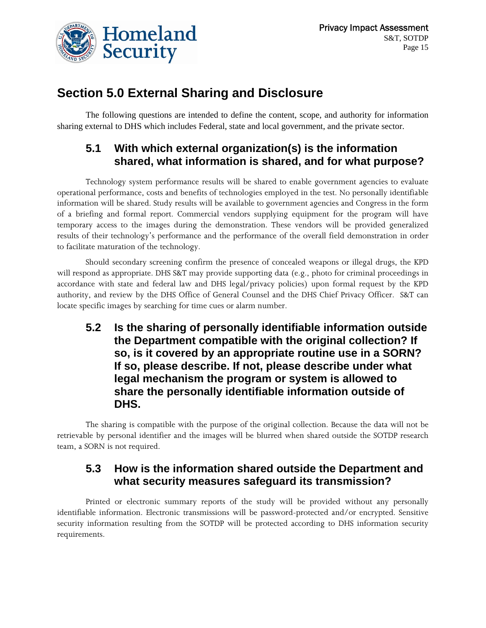

## **Section 5.0 External Sharing and Disclosure**

The following questions are intended to define the content, scope, and authority for information sharing external to DHS which includes Federal, state and local government, and the private sector.

#### **5.1 With which external organization(s) is the information shared, what information is shared, and for what purpose?**

Technology system performance results will be shared to enable government agencies to evaluate operational performance, costs and benefits of technologies employed in the test. No personally identifiable information will be shared. Study results will be available to government agencies and Congress in the form of a briefing and formal report. Commercial vendors supplying equipment for the program will have temporary access to the images during the demonstration. These vendors will be provided generalized results of their technology's performance and the performance of the overall field demonstration in order to facilitate maturation of the technology.

Should secondary screening confirm the presence of concealed weapons or illegal drugs, the KPD will respond as appropriate. DHS S&T may provide supporting data (e.g., photo for criminal proceedings in accordance with state and federal law and DHS legal/privacy policies) upon formal request by the KPD authority, and review by the DHS Office of General Counsel and the DHS Chief Privacy Officer. S&T can locate specific images by searching for time cues or alarm number.

**5.2 Is the sharing of personally identifiable information outside the Department compatible with the original collection? If so, is it covered by an appropriate routine use in a SORN? If so, please describe. If not, please describe under what legal mechanism the program or system is allowed to share the personally identifiable information outside of DHS.** 

The sharing is compatible with the purpose of the original collection. Because the data will not be retrievable by personal identifier and the images will be blurred when shared outside the SOTDP research team, a SORN is not required.

#### **5.3 How is the information shared outside the Department and what security measures safeguard its transmission?**

Printed or electronic summary reports of the study will be provided without any personally identifiable information. Electronic transmissions will be password-protected and/or encrypted. Sensitive security information resulting from the SOTDP will be protected according to DHS information security requirements.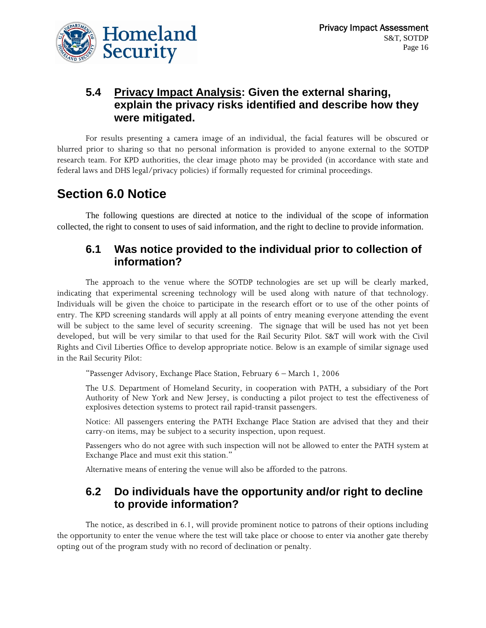

#### **5.4 Privacy Impact Analysis: Given the external sharing, explain the privacy risks identified and describe how they were mitigated.**

For results presenting a camera image of an individual, the facial features will be obscured or blurred prior to sharing so that no personal information is provided to anyone external to the SOTDP research team. For KPD authorities, the clear image photo may be provided (in accordance with state and federal laws and DHS legal/privacy policies) if formally requested for criminal proceedings.

## **Section 6.0 Notice**

The following questions are directed at notice to the individual of the scope of information collected, the right to consent to uses of said information, and the right to decline to provide information.

#### **6.1 Was notice provided to the individual prior to collection of information?**

The approach to the venue where the SOTDP technologies are set up will be clearly marked, indicating that experimental screening technology will be used along with nature of that technology. Individuals will be given the choice to participate in the research effort or to use of the other points of entry. The KPD screening standards will apply at all points of entry meaning everyone attending the event will be subject to the same level of security screening. The signage that will be used has not yet been developed, but will be very similar to that used for the Rail Security Pilot. S&T will work with the Civil Rights and Civil Liberties Office to develop appropriate notice. Below is an example of similar signage used in the Rail Security Pilot:

"Passenger Advisory, Exchange Place Station, February 6 – March 1, 2006

The U.S. Department of Homeland Security, in cooperation with PATH, a subsidiary of the Port Authority of New York and New Jersey, is conducting a pilot project to test the effectiveness of explosives detection systems to protect rail rapid-transit passengers.

Notice: All passengers entering the PATH Exchange Place Station are advised that they and their carry-on items, may be subject to a security inspection, upon request.

Passengers who do not agree with such inspection will not be allowed to enter the PATH system at Exchange Place and must exit this station."

Alternative means of entering the venue will also be afforded to the patrons.

#### **6.2 Do individuals have the opportunity and/or right to decline to provide information?**

The notice, as described in 6.1, will provide prominent notice to patrons of their options including the opportunity to enter the venue where the test will take place or choose to enter via another gate thereby opting out of the program study with no record of declination or penalty.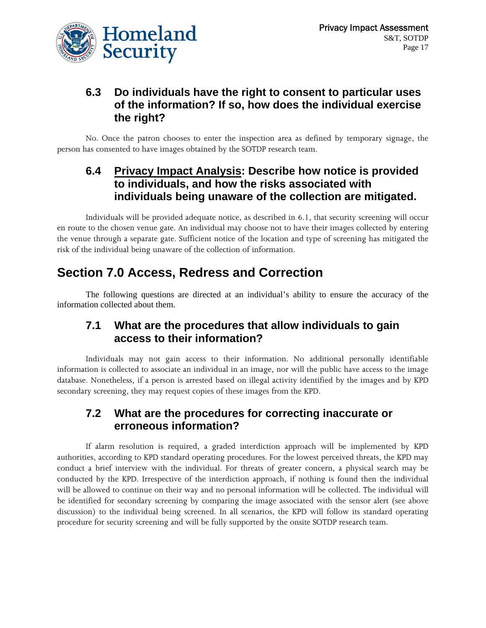

#### **6.3 Do individuals have the right to consent to particular uses of the information? If so, how does the individual exercise the right?**

No. Once the patron chooses to enter the inspection area as defined by temporary signage, the person has consented to have images obtained by the SOTDP research team.

#### **6.4 Privacy Impact Analysis: Describe how notice is provided to individuals, and how the risks associated with individuals being unaware of the collection are mitigated.**

Individuals will be provided adequate notice, as described in 6.1, that security screening will occur en route to the chosen venue gate. An individual may choose not to have their images collected by entering the venue through a separate gate. Sufficient notice of the location and type of screening has mitigated the risk of the individual being unaware of the collection of information.

# **Section 7.0 Access, Redress and Correction**

The following questions are directed at an individual's ability to ensure the accuracy of the information collected about them.

#### **7.1 What are the procedures that allow individuals to gain access to their information?**

Individuals may not gain access to their information. No additional personally identifiable information is collected to associate an individual in an image, nor will the public have access to the image database. Nonetheless, if a person is arrested based on illegal activity identified by the images and by KPD secondary screening, they may request copies of these images from the KPD.

#### **7.2 What are the procedures for correcting inaccurate or erroneous information?**

If alarm resolution is required, a graded interdiction approach will be implemented by KPD authorities, according to KPD standard operating procedures. For the lowest perceived threats, the KPD may conduct a brief interview with the individual. For threats of greater concern, a physical search may be conducted by the KPD. Irrespective of the interdiction approach, if nothing is found then the individual will be allowed to continue on their way and no personal information will be collected. The individual will be identified for secondary screening by comparing the image associated with the sensor alert (see above discussion) to the individual being screened. In all scenarios, the KPD will follow its standard operating procedure for security screening and will be fully supported by the onsite SOTDP research team.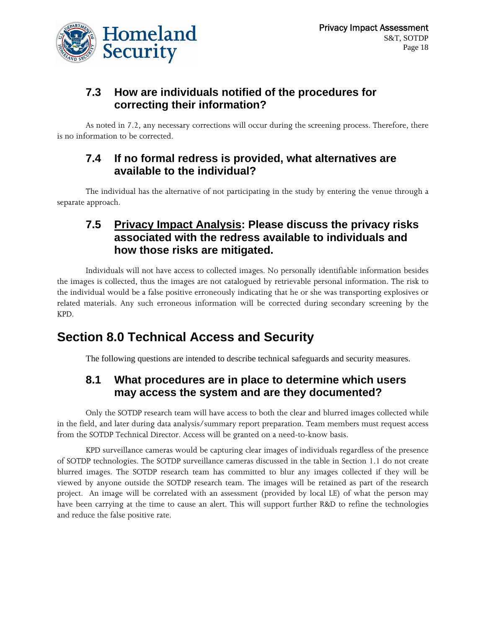

#### **7.3 How are individuals notified of the procedures for correcting their information?**

As noted in 7.2, any necessary corrections will occur during the screening process. Therefore, there is no information to be corrected.

#### **7.4 If no formal redress is provided, what alternatives are available to the individual?**

The individual has the alternative of not participating in the study by entering the venue through a separate approach.

#### **7.5 Privacy Impact Analysis: Please discuss the privacy risks associated with the redress available to individuals and how those risks are mitigated.**

Individuals will not have access to collected images. No personally identifiable information besides the images is collected, thus the images are not catalogued by retrievable personal information. The risk to the individual would be a false positive erroneously indicating that he or she was transporting explosives or related materials. Any such erroneous information will be corrected during secondary screening by the KPD.

# **Section 8.0 Technical Access and Security**

The following questions are intended to describe technical safeguards and security measures.

#### **8.1 What procedures are in place to determine which users may access the system and are they documented?**

Only the SOTDP research team will have access to both the clear and blurred images collected while in the field, and later during data analysis/summary report preparation. Team members must request access from the SOTDP Technical Director. Access will be granted on a need-to-know basis.

KPD surveillance cameras would be capturing clear images of individuals regardless of the presence of SOTDP technologies. The SOTDP surveillance cameras discussed in the table in Section 1.1 do not create blurred images. The SOTDP research team has committed to blur any images collected if they will be viewed by anyone outside the SOTDP research team. The images will be retained as part of the research project. An image will be correlated with an assessment (provided by local LE) of what the person may have been carrying at the time to cause an alert. This will support further R&D to refine the technologies and reduce the false positive rate.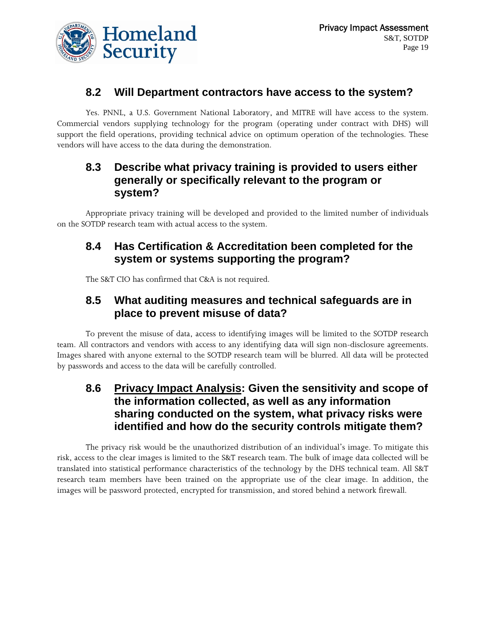

#### **8.2 Will Department contractors have access to the system?**

Yes. PNNL, a U.S. Government National Laboratory, and MITRE will have access to the system. Commercial vendors supplying technology for the program (operating under contract with DHS) will support the field operations, providing technical advice on optimum operation of the technologies. These vendors will have access to the data during the demonstration.

#### **8.3 Describe what privacy training is provided to users either generally or specifically relevant to the program or system?**

Appropriate privacy training will be developed and provided to the limited number of individuals on the SOTDP research team with actual access to the system.

#### **8.4 Has Certification & Accreditation been completed for the system or systems supporting the program?**

The S&T CIO has confirmed that C&A is not required.

#### **8.5 What auditing measures and technical safeguards are in place to prevent misuse of data?**

To prevent the misuse of data, access to identifying images will be limited to the SOTDP research team. All contractors and vendors with access to any identifying data will sign non-disclosure agreements. Images shared with anyone external to the SOTDP research team will be blurred. All data will be protected by passwords and access to the data will be carefully controlled.

#### **8.6 Privacy Impact Analysis: Given the sensitivity and scope of the information collected, as well as any information sharing conducted on the system, what privacy risks were identified and how do the security controls mitigate them?**

The privacy risk would be the unauthorized distribution of an individual's image. To mitigate this risk, access to the clear images is limited to the S&T research team. The bulk of image data collected will be translated into statistical performance characteristics of the technology by the DHS technical team. All S&T research team members have been trained on the appropriate use of the clear image. In addition, the images will be password protected, encrypted for transmission, and stored behind a network firewall.